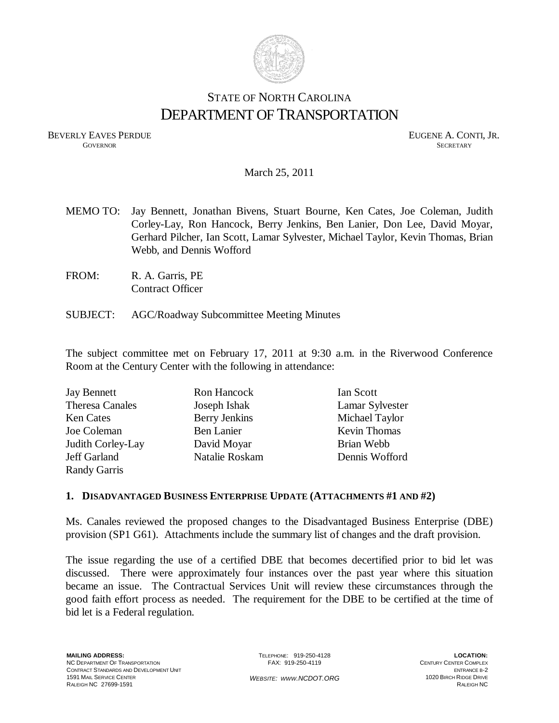# STATE OF NORTH CAROLINA DEPARTMENT OF TRANSPORTATION

BEVERLY EAVES PERDUE GOVERNOR GOVERNOR CONTINUES CONTINUES CONTINUES CONTINUES CONTINUES CONTINUES CONTINUES CONTINUES CONTINUES CONTINUES CONTINUES CONTINUES CONTINUES CONTINUES CONTINUES CONTINUES CONTINUES CONTINUES CON **GOVERNOR** SECRETARY

## March 25, 2011

- MEMO TO: Jay Bennett, Jonathan Bivens, Stuart Bourne, Ken Cates, Joe Coleman, Judith Corley-Lay, Ron Hancock, Berry Jenkins, Ben Lanier, Don Lee, David Moyar, Gerhard Pilcher, Ian Scott, Lamar Sylvester, Michael Taylor, Kevin Thomas, Brian Webb, and Dennis Wofford
- FROM: R. A. Garris, PE Contract Officer
- SUBJECT: AGC/Roadway Subcommittee Meeting Minutes

The subject committee met on February 17, 2011 at 9:30 a.m. in the Riverwood Conference Room at the Century Center with the following in attendance:

| <b>Jay Bennett</b>     | Ron Hancock          | Ian Scott           |
|------------------------|----------------------|---------------------|
| <b>Theresa Canales</b> | Joseph Ishak         | Lamar Sylvester     |
| <b>Ken Cates</b>       | <b>Berry Jenkins</b> | Michael Taylor      |
| Joe Coleman            | <b>Ben Lanier</b>    | <b>Kevin Thomas</b> |
| Judith Corley-Lay      | David Moyar          | Brian Webb          |
| Jeff Garland           | Natalie Roskam       | Dennis Wofford      |
| <b>Randy Garris</b>    |                      |                     |

## **1. DISADVANTAGED BUSINESS ENTERPRISE UPDATE (ATTACHMENTS #1 AND #2)**

Ms. Canales reviewed the proposed changes to the Disadvantaged Business Enterprise (DBE) provision (SP1 G61). Attachments include the summary list of changes and the draft provision.

The issue regarding the use of a certified DBE that becomes decertified prior to bid let was discussed. There were approximately four instances over the past year where this situation became an issue. The Contractual Services Unit will review these circumstances through the good faith effort process as needed. The requirement for the DBE to be certified at the time of bid let is a Federal regulation.

TELEPHONE: 919-250-4128 FAX: 919-250-4119

**LOCATION:** CENTURY CENTER COMPLEX ENTRANCE B-2 1020 BIRCH RIDGE DRIVE RALEIGH NC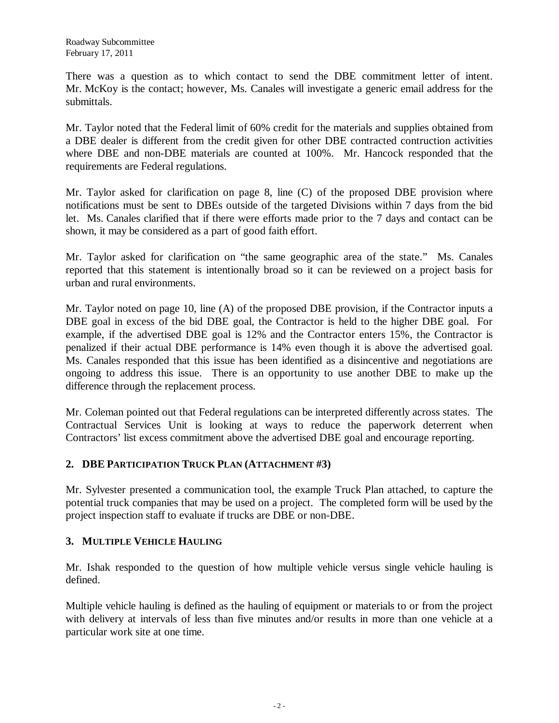There was a question as to which contact to send the DBE commitment letter of intent. Mr. McKoy is the contact; however, Ms. Canales will investigate a generic email address for the submittals.

Mr. Taylor noted that the Federal limit of 60% credit for the materials and supplies obtained from a DBE dealer is different from the credit given for other DBE contracted contruction activities where DBE and non-DBE materials are counted at 100%. Mr. Hancock responded that the requirements are Federal regulations.

Mr. Taylor asked for clarification on page 8, line (C) of the proposed DBE provision where notifications must be sent to DBEs outside of the targeted Divisions within 7 days from the bid let. Ms. Canales clarified that if there were efforts made prior to the 7 days and contact can be shown, it may be considered as a part of good faith effort.

Mr. Taylor asked for clarification on "the same geographic area of the state." Ms. Canales reported that this statement is intentionally broad so it can be reviewed on a project basis for urban and rural environments.

Mr. Taylor noted on page 10, line (A) of the proposed DBE provision, if the Contractor inputs a DBE goal in excess of the bid DBE goal, the Contractor is held to the higher DBE goal. For example, if the advertised DBE goal is 12% and the Contractor enters 15%, the Contractor is penalized if their actual DBE performance is 14% even though it is above the advertised goal. Ms. Canales responded that this issue has been identified as a disincentive and negotiations are ongoing to address this issue. There is an opportunity to use another DBE to make up the difference through the replacement process.

Mr. Coleman pointed out that Federal regulations can be interpreted differently across states. The Contractual Services Unit is looking at ways to reduce the paperwork deterrent when Contractors' list excess commitment above the advertised DBE goal and encourage reporting.

## **2. DBE PARTICIPATION TRUCK PLAN (ATTACHMENT #3)**

Mr. Sylvester presented a communication tool, the example Truck Plan attached, to capture the potential truck companies that may be used on a project. The completed form will be used by the project inspection staff to evaluate if trucks are DBE or non-DBE.

## **3. MULTIPLE VEHICLE HAULING**

Mr. Ishak responded to the question of how multiple vehicle versus single vehicle hauling is defined.

Multiple vehicle hauling is defined as the hauling of equipment or materials to or from the project with delivery at intervals of less than five minutes and/or results in more than one vehicle at a particular work site at one time.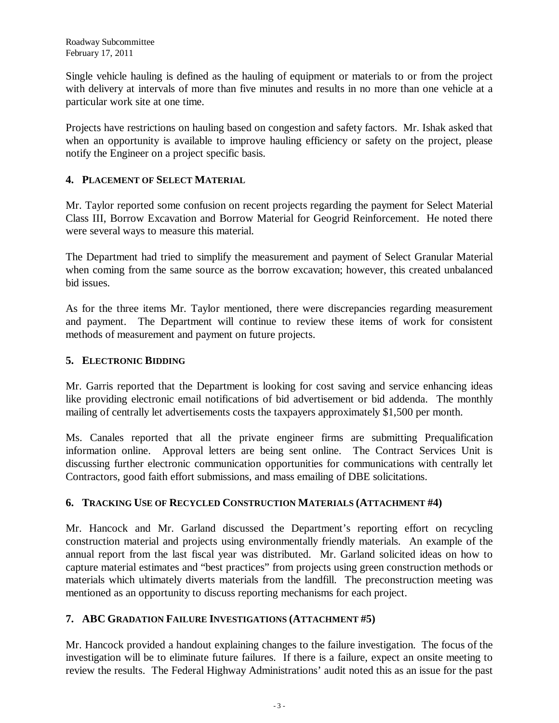Single vehicle hauling is defined as the hauling of equipment or materials to or from the project with delivery at intervals of more than five minutes and results in no more than one vehicle at a particular work site at one time.

Projects have restrictions on hauling based on congestion and safety factors. Mr. Ishak asked that when an opportunity is available to improve hauling efficiency or safety on the project, please notify the Engineer on a project specific basis.

## **4. PLACEMENT OF SELECT MATERIAL**

Mr. Taylor reported some confusion on recent projects regarding the payment for Select Material Class III, Borrow Excavation and Borrow Material for Geogrid Reinforcement. He noted there were several ways to measure this material.

The Department had tried to simplify the measurement and payment of Select Granular Material when coming from the same source as the borrow excavation; however, this created unbalanced bid issues.

As for the three items Mr. Taylor mentioned, there were discrepancies regarding measurement and payment. The Department will continue to review these items of work for consistent methods of measurement and payment on future projects.

## **5. ELECTRONIC BIDDING**

Mr. Garris reported that the Department is looking for cost saving and service enhancing ideas like providing electronic email notifications of bid advertisement or bid addenda. The monthly mailing of centrally let advertisements costs the taxpayers approximately \$1,500 per month.

Ms. Canales reported that all the private engineer firms are submitting Prequalification information online. Approval letters are being sent online. The Contract Services Unit is discussing further electronic communication opportunities for communications with centrally let Contractors, good faith effort submissions, and mass emailing of DBE solicitations.

## **6. TRACKING USE OF RECYCLED CONSTRUCTION MATERIALS (ATTACHMENT #4)**

Mr. Hancock and Mr. Garland discussed the Department's reporting effort on recycling construction material and projects using environmentally friendly materials. An example of the annual report from the last fiscal year was distributed. Mr. Garland solicited ideas on how to capture material estimates and "best practices" from projects using green construction methods or materials which ultimately diverts materials from the landfill. The preconstruction meeting was mentioned as an opportunity to discuss reporting mechanisms for each project.

## **7. ABC GRADATION FAILURE INVESTIGATIONS (ATTACHMENT #5)**

Mr. Hancock provided a handout explaining changes to the failure investigation. The focus of the investigation will be to eliminate future failures. If there is a failure, expect an onsite meeting to review the results. The Federal Highway Administrations' audit noted this as an issue for the past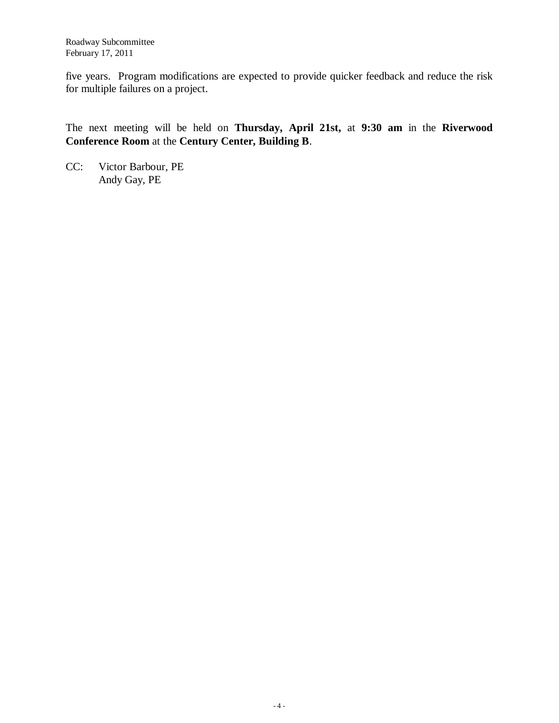Roadway Subcommittee February 17, 2011

five years. Program modifications are expected to provide quicker feedback and reduce the risk for multiple failures on a project.

The next meeting will be held on **Thursday, April 21st,** at **9:30 am** in the **Riverwood Conference Room** at the **Century Center, Building B**.

CC: Victor Barbour, PE Andy Gay, PE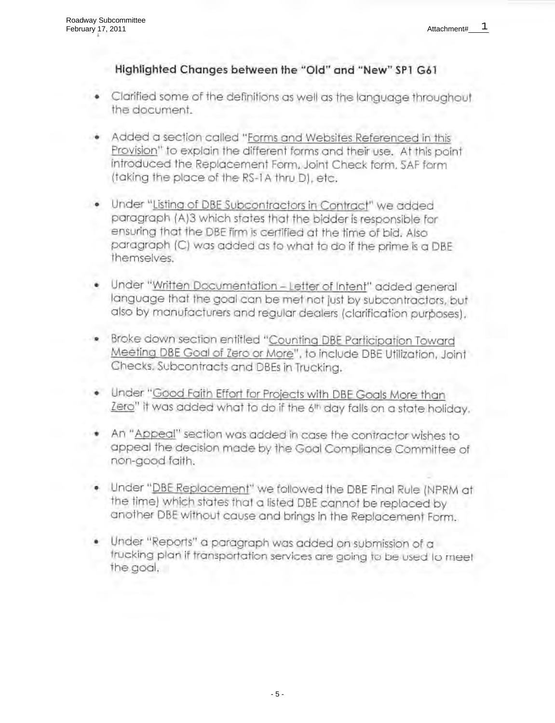# Highlighted Changes between the "Old" and "New" SP1 G61

- Clarified some of the definitions as well as the language throughout the document.
- Added a section called "Forms and Websites Referenced in this Provision" to explain the different forms and their use. At this point introduced the Replacement Form, Joint Check form, SAF form (taking the place of the RS-1A thru D), etc.
- Under "Listing of DBE Subcontractors in Contract" we added paragraph (A)3 which states that the bidder is responsible for ensuring that the DBE firm is certified at the time of bid. Also paragraph (C) was added as to what to do if the prime is a DBE themselves.
- Under "Written Documentation Letter of Intent" added general language that the goal can be met not just by subcontractors, but also by manufacturers and regular dealers (clarification purposes),
- Broke down section entitled "Counting DBE Participation Toward Meeting DBE Goal of Zero or More", to include DBE Utilization, Joint Checks, Subcontracts and DBEs in Trucking.
- . Under "Good Faith Effort for Projects with DBE Goals More than Zero" it was added what to do if the 6th day falls on a state holiday.
- An "Appeal" section was added in case the contractor wishes to appeal the decision made by the Goal Compliance Committee of non-good faith.
- . Under "DBE Replacement" we followed the DBE Final Rule (NPRM at the time) which states that a listed DBE cannot be replaced by another DBE without cause and brings in the Replacement Form.
- · Under "Reports" a paragraph was added on submission of a trucking plan if transportation services are going to be used to meet the goal,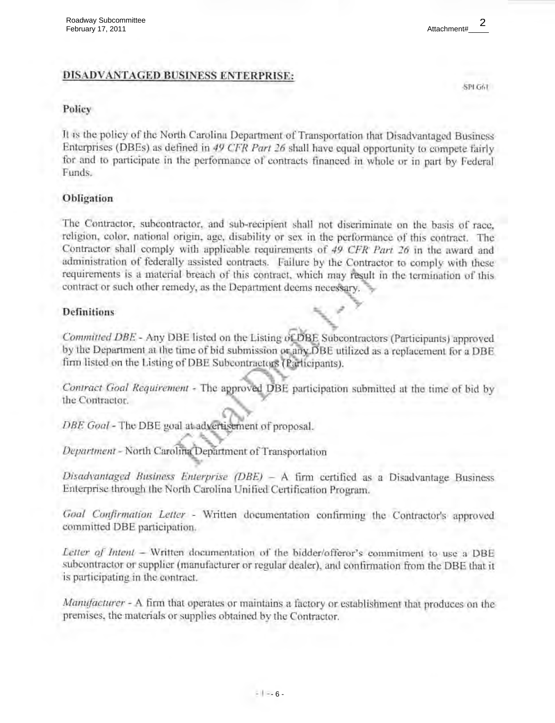# DISADVANTAGED BUSINESS ENTERPRISE:

SPI G/H

## Policy

It is the policy of the North Carolina Department of Transportation that Disadvantaged Business Enterprises (DBEs) as defined in 49 CFR Part 26 shall have equal opportunity to compete fairly for and to participate in the performance of contracts financed in whole or in part by Federal Funds.

## Obligation

The Contractor, subcontractor, and sub-recipient shall not discriminate on the basis of race, religion, color, national origin, age, disability or sex in the performance of this contract. The Contractor shall comply with applicable requirements of 49 CFR Part 26 in the award and administration of federally assisted contracts. Failure by the Contractor to comply with these requirements is a material breach of this contract, which may result in the termination of this contract or such other remedy, as the Department deems necessary.

## **Definitions**

Committed DBE - Any DBE listed on the Listing of DBE Subcontractors (Participants) approved by the Department at the time of bid submission or any DBE utilized as a replacement for a DBE firm listed on the Listing of DBE Subcontractors (Participants).

Contract Goal Requirement - The approved DBE participation submitted at the time of bid by the Contractor.

DBE Goal - The DBE goal at advertisement of proposal.

Department - North Carolina Department of Transportation

Disadvantaged Business Enterprise (DBE) - A firm certified as a Disadvantage Business Enterprise through the North Carolina Unified Certification Program.

Goal Confirmation Letter - Written documentation confirming the Contractor's approved committed DBE participation.

Letter of Intent - Written documentation of the bidder/offeror's commitment to use a DBE subcontractor or supplier (manufacturer or regular dealer), and confirmation from the DBE that it is participating in the contract.

Manufacturer - A firm that operates or maintains a factory or establishment that produces on the premises, the materials or supplies obtained by the Contractor.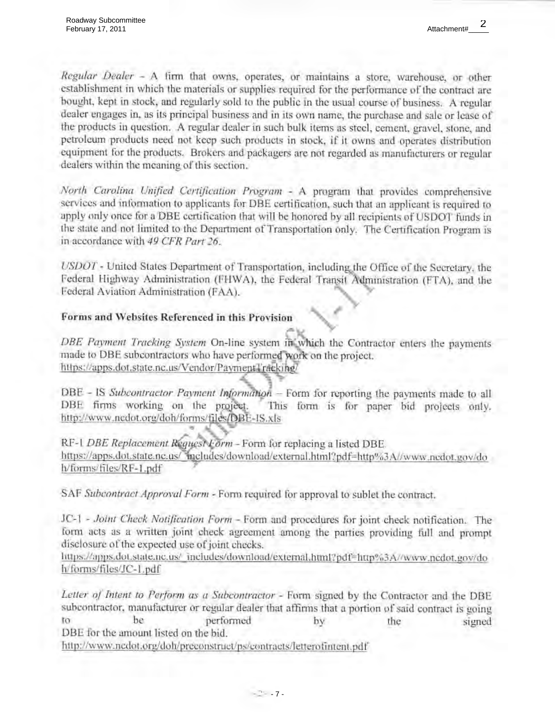Regular Dealer - A firm that owns, operates, or maintains a store, warehouse, or other establishment in which the materials or supplies required for the performance of the contract are bought, kept in stock, and regularly sold to the public in the usual course of business. A regular dealer engages in, as its principal business and in its own name, the purchase and sale or lease of the products in question. A regular dealer in such bulk items as steel, cement, gravel, stone, and petroleum products need not keep such products in stock, if it owns and operates distribution equipment for the products. Brokers and packagers are not regarded as manufacturers or regular dealers within the meaning of this section.

North Carolina Unified Certification Program - A program that provides comprehensive services and information to applicants for DBE certification, such that an applicant is required to apply only once for a DBE certification that will be honored by all recipients of USDOT funds in the state and not limited to the Department of Transportation only. The Certification Program is in accordance with 49 CFR Part 26.

USDOT - United States Department of Transportation, including the Office of the Secretary, the Federal Highway Administration (FHWA), the Federal Transit Administration (FTA), and the Federal Aviation Administration (FAA).

## Forms and Websites Referenced in this Provision

DBE Payment Tracking System On-line system in which the Contractor enters the payments made to DBE subcontractors who have performed work on the project. https://apps.dot.state.nc.us/Vendor/PaymentTracking/

DBE - IS Subcontractor Payment Information - Form for reporting the payments made to all DBE firms working on the project. This form is for paper bid projects only. http://www.nedot.org/doh/forms/files/DBE-IS.xls

RF-1 DBE Replacement Request Form - Form for replacing a listed DBE. https://apps.dot.state.nc.us/"includes/download/external.html?pdf=http%3A//www.nedot.gov/do h/forms/files/RF-1.pdf

SAF Subcontract Approval Form - Form required for approval to sublet the contract.

JC-1 - Joint Check Notification Form - Form and procedures for joint check notification. The form acts as a written joint check agreement among the parties providing full and prompt disclosure of the expected use of joint checks.

https://apps.dot.state.nc.us/ includes/download/external.html?pdf=http%3A//www.ncdot.gov/do h/forms/files/JC-1.pdf

Letter of Intent to Perform as a Subcontractor - Form signed by the Contractor and the DBE subcontractor, manufacturer or regular dealer that affirms that a portion of said contract is going be to performed by the signed DBE for the amount listed on the bid.

http://www.nedot.org/doh/preconstruct/ps/contracts/letterofintent.pdf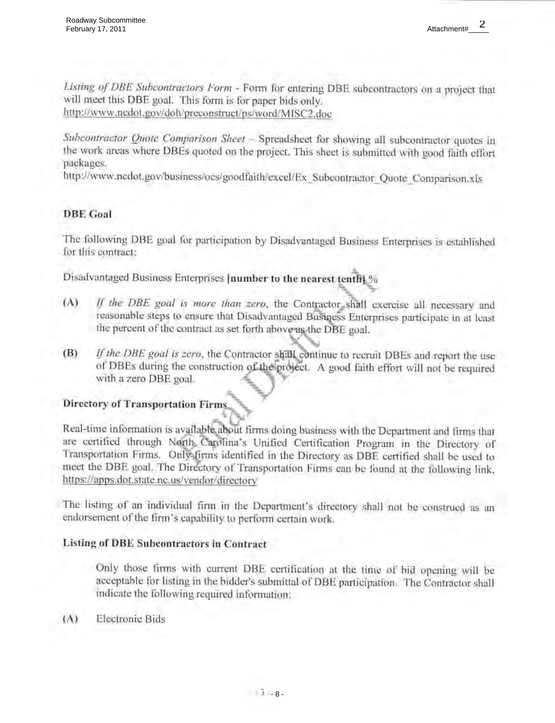Listing of DBE Subcontractors Form - Form for entering DBE subcontractors on a project that will meet this DBE goal. This form is for paper bids only. http://www.nedot.gov/doh/preconstruct/ps/word/MISC2.doc

Subcontractor Quote Comparison Sheet - Spreadsheet for showing all subcontractor quotes in the work areas where DBEs quoted on the project. This sheet is submitted with good faith effort packages.

http://www.nedot.gov/business/ocs/goodfaith/excel/Ex Subcontractor Quote Comparison.xls

## **DBE** Goal

The following DBE goal for participation by Disadvantaged Business Enterprises is established for this contract:

Disadvantaged Business Enterprises [number to the nearest tenth] %

- If the DBE goal is more than zero, the Contractor shall exercise all necessary and  $(A)$ reasonable steps to ensure that Disadvantaged Business Enterprises participate in at least the percent of the contract as set forth above as the DBE goal.
- If the DBE goal is zero, the Contractor shall continue to recruit DBEs and report the use (B) of DBEs during the construction of the project. A good faith effort will not be required with a zero DBE goal.

## **Directory of Transportation Firms**

Real-time information is available about firms doing business with the Department and firms that are certified through North Carolina's Unified Certification Program in the Directory of Transportation Firms. Only firms identified in the Directory as DBE certified shall be used to meet the DBE goal. The Directory of Transportation Firms can be found at the following link, https://apps.dot.state.nc.us/vendor/directory

The listing of an individual firm in the Department's directory shall not be construed as an endorsement of the firm's capability to perform certain work.

## Listing of DBE Subcontractors in Contract

Only those firms with current DBE certification at the time of bid opening will be acceptable for listing in the bidder's submittal of DBE participation. The Contractor shall indicate the following required information:

**Electronic Bids**  $(\Lambda)$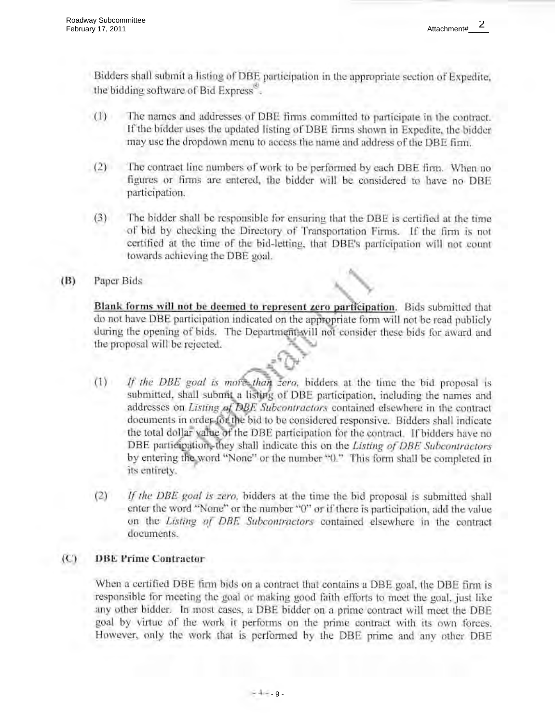Bidders shall submit a listing of DBE participation in the appropriate section of Expedite. the bidding software of Bid Express<sup>®</sup>.

- (1) The names and addresses of DBE firms committed to participate in the contract. If the bidder uses the updated listing of DBE firms shown in Expedite, the bidder may use the dropdown menu to access the name and address of the DBE firm.
- $(2)$ The contract line numbers of work to be performed by each DBE firm. When no figures or firms are entered, the bidder will be considered to have no DBE participation.
- $(3)$ The bidder shall be responsible for ensuring that the DBE is certified at the time of bid by checking the Directory of Transportation Firms. If the firm is not certified at the time of the bid-letting, that DBE's participation will not count towards achieving the DBE goal.

#### Paper Bids  $(B)$

Blank forms will not be deemed to represent zero participation. Bids submitted that do not have DBE participation indicated on the appropriate form will not be read publicly during the opening of bids. The Department will not consider these bids for award and the proposal will be rejected.

- If the DBE goal is more than zero, bidders at the time the bid proposal is  $(1)$ submitted, shall submit a listing of DBE participation, including the names and addresses on Listing of DBE Subcontractors contained elsewhere in the contract documents in order for the bid to be considered responsive. Bidders shall indicate the total dollar value of the DBE participation for the contract. If bidders have no DBE participation, they shall indicate this on the Listing of DBE Subcontractors by entering the word "None" or the number "0." This form shall be completed in its entirety.
- $(2)$ If the DBE goal is zero, bidders at the time the bid proposal is submitted shall enter the word "None" or the number "0" or if there is participation, add the value on the Listing of DBE Subcontractors contained elsewhere in the contract documents.

#### $($ C) **DBE Prime Contractor**

When a certified DBE firm bids on a contract that contains a DBE goal, the DBE firm is responsible for meeting the goal or making good faith efforts to meet the goal, just like any other bidder. In most cases, a DBE bidder on a prime contract will meet the DBE goal by virtue of the work it performs on the prime contract with its own forces. However, only the work that is performed by the DBE prime and any other DBE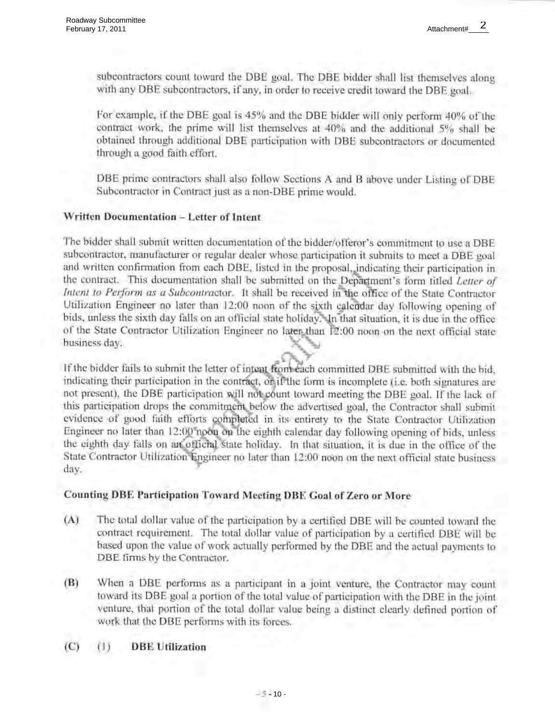subcontractors count toward the DBE goal. The DBE bidder shall list themselves along with any DBE subcontractors, if any, in order to receive credit toward the DBE goal.

For example, if the DBE goal is 45% and the DBE bidder will only perform 40% of the contract work, the prime will list themselves at 40% and the additional 5% shall be obtained through additional DBE participation with DBE subcontractors or documented through a good faith effort.

DBE prime contractors shall also follow Sections A and B above under Listing of DBE Subcontractor in Contract just as a non-DBE prime would.

## Written Documentation - Letter of Intent

The bidder shall submit written documentation of the bidder/offeror's commitment to use a DBE subcontractor, manufacturer or regular dealer whose participation it submits to meet a DBE goal and written confirmation from each DBE, listed in the proposal, indicating their participation in the contract. This documentation shall be submitted on the Department's form titled Letter of Intent to Perform as a Subcontractor. It shall be received in the office of the State Contractor Utilization Engineer no later than 12:00 noon of the sixth calendar day following opening of bids, unless the sixth day falls on an official state holiday. In that situation, it is due in the office of the State Contractor Utilization Engineer no later than 12:00 noon on the next official state business day.

If the bidder fails to submit the letter of intent from each committed DBE submitted with the bid, indicating their participation in the contract, on if the form is incomplete (i.e. both signatures are not present), the DBE participation will not count toward meeting the DBE goal. If the lack of this participation drops the commitment below the advertised goal, the Contractor shall submit evidence of good faith efforts completed in its entirety to the State Contractor Utilization Engineer no later than 12:00 noon on the eighth calendar day following opening of bids, unless the eighth day falls on an official state holiday. In that situation, it is due in the office of the State Contractor Utilization Engineer no later than 12:00 noon on the next official state business day.

## Counting DBE Participation Toward Meeting DBE Goal of Zero or More

- $(A)$ The total dollar value of the participation by a certified DBE will be counted toward the contract requirement. The total dollar value of participation by a certified DBE will be based upon the value of work actually performed by the DBE and the actual payments to DBE firms by the Contractor.
- $(B)$ When a DBE performs as a participant in a joint venture, the Contractor may count toward its DBE goal a portion of the total value of participation with the DBE in the joint venture, that portion of the total dollar value being a distinct clearly defined portion of work that the DBE performs with its forces.
- $(C)$  $(1)$ **DBE** Utilization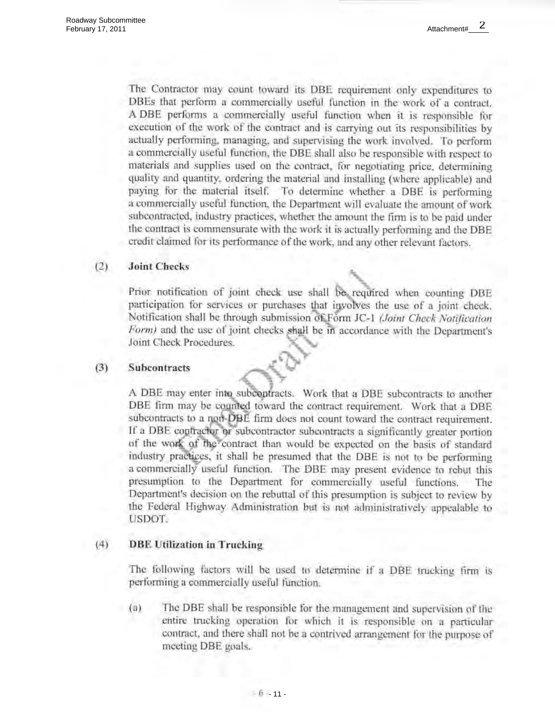The Contractor may count toward its DBE requirement only expenditures to DBEs that perform a commercially useful function in the work of a contract. A DBE performs a commercially useful function when it is responsible for execution of the work of the contract and is carrying out its responsibilities by actually performing, managing, and supervising the work involved. To perform a commercially useful function, the DBE shall also be responsible with respect to materials and supplies used on the contract, for negotiating price, determining quality and quantity, ordering the material and installing (where applicable) and paying for the material itself. To determine whether a DBE is performing a commercially useful function, the Department will evaluate the amount of work subcontracted, industry practices, whether the amount the firm is to be paid under the contract is commensurate with the work it is actually performing and the DBE credit claimed for its performance of the work, and any other relevant factors.

#### $(2)$ **Joint Checks**

Prior notification of joint check use shall be required when counting DBE participation for services or purchases that involves the use of a joint check. Notification shall be through submission of Form JC-1 (Joint Check Notification Form) and the use of joint checks shall be in accordance with the Department's Joint Check Procedures.

#### $(3)$ **Subcontracts**

A DBE may enter into subcontracts. Work that a DBE subcontracts to another DBE firm may be counted toward the contract requirement. Work that a DBE subcontracts to a non-DBE firm does not count toward the contract requirement. If a DBE contractor or subcontractor subcontracts a significantly greater portion of the work of the contract than would be expected on the basis of standard industry practices, it shall be presumed that the DBE is not to be performing a commercially useful function. The DBE may present evidence to rebut this presumption to the Department for commercially useful functions. The Department's decision on the rebuttal of this presumption is subject to review by the Federal Highway Administration but is not administratively appealable to USDOT.

#### $(4)$ **DBE Utilization in Trucking**

The following factors will be used to determine if a DBE trucking firm is performing a commercially useful function.

The DBE shall be responsible for the management and supervision of the  $(a)$ entire trucking operation for which it is responsible on a particular contract, and there shall not be a contrived arrangement for the purpose of meeting DBE goals.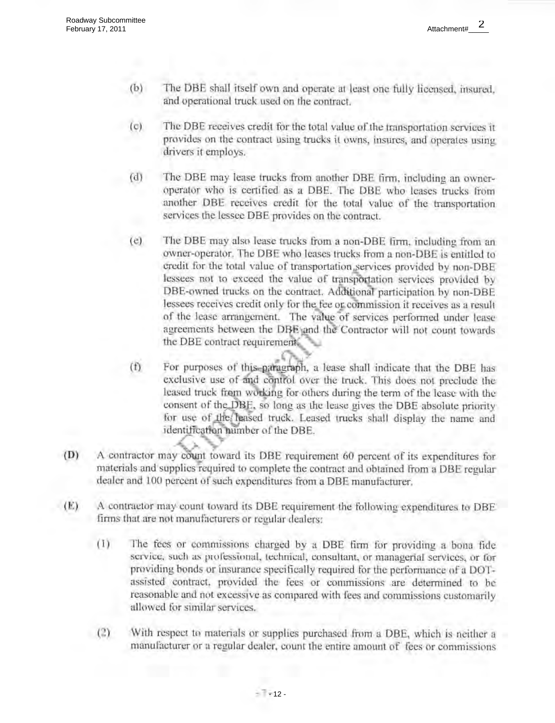- $(b)$ The DBE shall itself own and operate at least one fully licensed, insured. and operational truck used on the contract.
- The DBE receives credit for the total value of the transportation services it  $(c)$ provides on the contract using trucks it owns, insures, and operates using drivers it employs.
- $(d)$ The DBE may lease trucks from another DBE firm, including an owneroperator who is certified as a DBE. The DBE who leases trucks from another DBE receives credit for the total value of the transportation services the lessee DBE provides on the contract.
- The DBE may also lease trucks from a non-DBE firm, including from an  $(e)$ owner-operator. The DBE who leases trucks from a non-DBE is entitled to credit for the total value of transportation services provided by non-DBE lessees not to exceed the value of transportation services provided by DBE-owned trucks on the contract. Additional participation by non-DBE lessees receives credit only for the fee or commission it receives as a result of the lease arrangement. The value of services performed under lease agreements between the DBE and the Contractor will not count towards the DBE contract requirement.
- $(f)$ For purposes of this paragraph, a lease shall indicate that the DBE has exclusive use of and control over the truck. This does not preclude the leased truck from working for others during the term of the lease with the consent of the DBE, so long as the lease gives the DBE absolute priority for use of the leased truck. Leased trucks shall display the name and identification number of the DBE.
- $(D)$ A contractor may count toward its DBE requirement 60 percent of its expenditures for materials and supplies required to complete the contract and obtained from a DBE regular dealer and 100 percent of such expenditures from a DBE manufacturer.
- $(E)$ A contractor may count toward its DBE requirement the following expenditures to DBE firms that are not manufacturers or regular dealers:
	- The fees or commissions charged by a DBE firm for providing a bona fide  $(1)$ service, such as professional, technical, consultant, or managerial services, or for providing bonds or insurance specifically required for the performance of a DOTassisted contract, provided the fees or commissions are determined to be reasonable and not excessive as compared with fees and commissions customarily allowed for similar services.
	- $(2)$ With respect to materials or supplies purchased from a DBE, which is neither a manufacturer or a regular dealer, count the entire amount of fees or commissions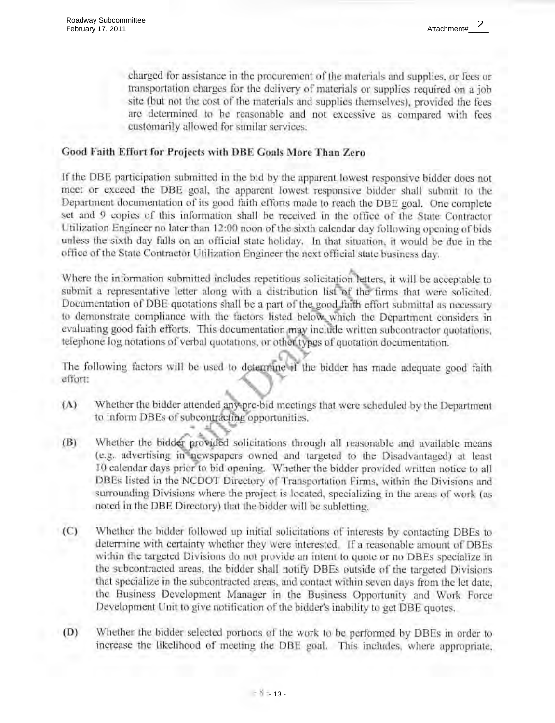charged for assistance in the procurement of the materials and supplies, or fees or transportation charges for the delivery of materials or supplies required on a job site (but not the cost of the materials and supplies themselves), provided the fees are determined to be reasonable and not excessive as compared with fees customarily allowed for similar services.

## Good Faith Effort for Projects with DBE Goals More Than Zero

If the DBE participation submitted in the bid by the apparent lowest responsive bidder does not meet or exceed the DBE goal, the apparent lowest responsive bidder shall submit to the Department documentation of its good faith efforts made to reach the DBE goal. One complete set and 9 copies of this information shall be received in the office of the State Contractor Utilization Engineer no later than 12:00 noon of the sixth calendar day following opening of bids unless the sixth day falls on an official state holiday. In that situation, it would be due in the office of the State Contractor Utilization Engineer the next official state business day.

Where the information submitted includes repetitious solicitation letters, it will be acceptable to submit a representative letter along with a distribution list of the firms that were solicited. Documentation of DBE quotations shall be a part of the good faith effort submittal as necessary to demonstrate compliance with the factors listed below which the Department considers in evaluating good faith efforts. This documentation may include written subcontractor quotations, telephone log notations of verbal quotations, or other types of quotation documentation.

The following factors will be used to determine if the bidder has made adequate good faith effort:

- Whether the bidder attended any pre-bid meetings that were scheduled by the Department  $(\Lambda)$ to inform DBEs of subcontracting opportunities.
- Whether the bidder provided solicitations through all reasonable and available means  $(B)$ (e.g. advertising in newspapers owned and targeted to the Disadvantaged) at least 10 calendar days prior to bid opening. Whether the bidder provided written notice to all DBEs listed in the NCDOT Directory of Transportation Firms, within the Divisions and surrounding Divisions where the project is located, specializing in the areas of work (as noted in the DBE Directory) that the bidder will be subletting.
- Whether the bidder followed up initial solicitations of interests by contacting DBEs to  $(C)$ determine with certainty whether they were interested. If a reasonable amount of DBEs within the targeted Divisions do not provide an intent to quote or no DBEs specialize in the subcontracted areas, the bidder shall notify DBEs outside of the targeted Divisions that specialize in the subcontracted areas, and contact within seven days from the let date, the Business Development Manager in the Business Opportunity and Work Force Development Unit to give notification of the bidder's inability to get DBE quotes.
- $(D)$ Whether the bidder selected portions of the work to be performed by DBEs in order to increase the likelihood of meeting the DBE goal. This includes, where appropriate,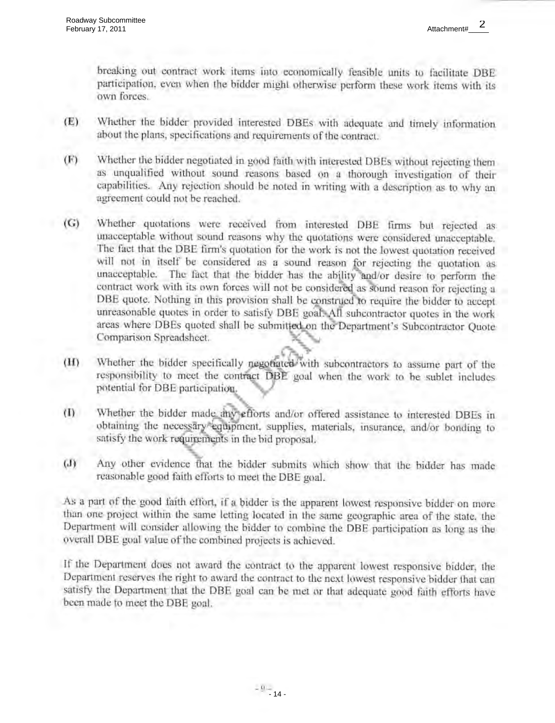breaking out contract work items into economically feasible units to facilitate DBE participation, even when the bidder might otherwise perform these work items with its own forces.

- Whether the bidder provided interested DBEs with adequate and timely information  $(E)$ about the plans, specifications and requirements of the contract.
- (F) Whether the bidder negotiated in good faith with interested DBEs without rejecting them as unqualified without sound reasons based on a thorough investigation of their capabilities. Any rejection should be noted in writing with a description as to why an agreement could not be reached.
- $(G)$ Whether quotations were received from interested DBE firms but rejected as unacceptable without sound reasons why the quotations were considered unacceptable. The fact that the DBE firm's quotation for the work is not the lowest quotation received will not in itself be considered as a sound reason for rejecting the quotation as unacceptable. The fact that the bidder has the ability and/or desire to perform the contract work with its own forces will not be considered as sound reason for rejecting a DBE quote. Nothing in this provision shall be construed to require the bidder to accept unreasonable quotes in order to satisfy DBE goal. All subcontractor quotes in the work areas where DBEs quoted shall be submitted on the Department's Subcontractor Quote Comparison Spreadsheet.
- Whether the bidder specifically negotiated with subcontractors to assume part of the  $(H)$ responsibility to meet the contract DBE goal when the work to be sublet includes potential for DBE participation.
- Whether the bidder made any efforts and/or offered assistance to interested DBEs in  $(1)$ obtaining the necessary equipment, supplies, materials, insurance, and/or bonding to satisfy the work requirements in the bid proposal.
- Any other evidence that the bidder submits which show that the bidder has made  $(J)$ reasonable good faith efforts to meet the DBE goal.

As a part of the good faith effort, if a bidder is the apparent lowest responsive bidder on more than one project within the same letting located in the same geographic area of the state, the Department will consider allowing the bidder to combine the DBE participation as long as the overall DBE goal value of the combined projects is achieved.

If the Department does not award the contract to the apparent lowest responsive bidder, the Department reserves the right to award the contract to the next lowest responsive bidder that can satisfy the Department that the DBE goal can be met or that adequate good faith efforts have been made to meet the DBE goal.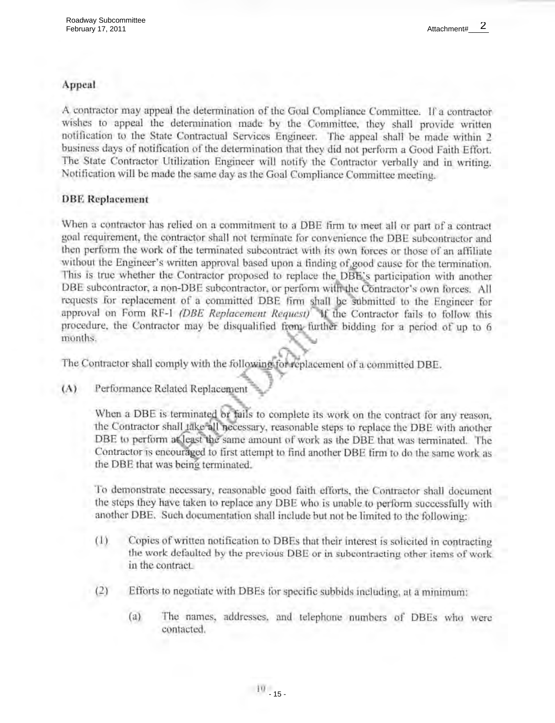## Appeal

A contractor may appeal the determination of the Goal Compliance Committee. If a contractor wishes to appeal the determination made by the Committee, they shall provide written notification to the State Contractual Services Engineer. The appeal shall be made within 2 business days of notification of the determination that they did not perform a Good Faith Effort. The State Contractor Utilization Engineer will notify the Contractor verbally and in writing. Notification will be made the same day as the Goal Compliance Committee meeting.

## **DBE** Replacement

When a contractor has relied on a commitment to a DBE firm to meet all or part of a contract goal requirement, the contractor shall not terminate for convenience the DBE subcontractor and then perform the work of the terminated subcontract with its own forces or those of an affiliate without the Engineer's written approval based upon a finding of good cause for the termination. This is true whether the Contractor proposed to replace the DBE's participation with another DBE subcontractor, a non-DBE subcontractor, or perform with the Contractor's own forces. All requests for replacement of a committed DBE firm shall be submitted to the Engineer for approval on Form RF-1 (DBE Replacement Request) If the Contractor fails to follow this procedure, the Contractor may be disqualified from further bidding for a period of up to 6 months.

The Contractor shall comply with the following for replacement of a committed DBE.

 $(A)$ Performance Related Replacement

> When a DBE is terminated or fails to complete its work on the contract for any reason, the Contractor shall take all necessary, reasonable steps to replace the DBE with another DBE to perform at least the same amount of work as the DBE that was terminated. The Contractor is encouraged to first attempt to find another DBE firm to do the same work as the DBE that was being terminated.

> To demonstrate necessary, reasonable good faith efforts, the Contractor shall document the steps they have taken to replace any DBE who is unable to perform successfully with another DBE. Such documentation shall include but not be limited to the following:

- $(1)$ Copies of written notification to DBEs that their interest is solicited in contracting the work defaulted by the previous DBE or in subcontracting other items of work in the contract
- $(2)$ Efforts to negotiate with DBEs for specific subbids including, at a minimum:
	- The names, addresses, and telephone numbers of DBEs who were  $(a)$ contacted.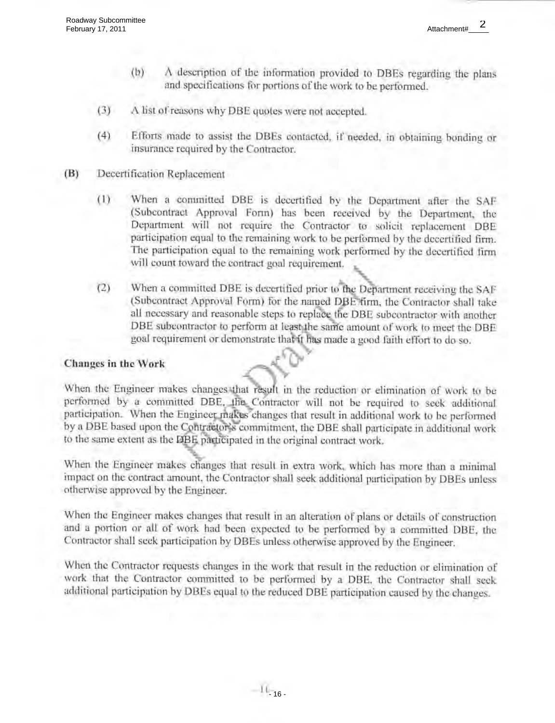- $(b)$  $\Lambda$  description of the information provided to DBEs regarding the plans and specifications for portions of the work to be performed.
- $(3)$ A list of reasons why DBE quotes were not accepted.
- $(4)$ Efforts made to assist the DBEs contacted, if needed, in obtaining bonding or insurance required by the Contractor.
- (B) Decertification Replacement
	- When a committed DBE is decertified by the Department after the SAF  $(1)$ (Subcontract Approval Form) has been received by the Department, the Department will not require the Contractor to solicit replacement DBE participation equal to the remaining work to be performed by the decertified firm. The participation equal to the remaining work performed by the decertified firm will count toward the contract goal requirement.
	- $(2)$ When a committed DBE is decertified prior to the Department receiving the SAF (Subcontract Approval Form) for the named DBE firm, the Contractor shall take all necessary and reasonable steps to replace the DBE subcontractor with another DBE subcontractor to perform at least the same amount of work to meet the DBE goal requirement or demonstrate that it has made a good faith effort to do so.

## **Changes in the Work**

When the Engineer makes changes that result in the reduction or elimination of work to be performed by a committed DBE, the Contractor will not be required to seek additional participation. When the Engineer makes changes that result in additional work to be performed by a DBE based upon the Contractor's commitment, the DBE shall participate in additional work to the same extent as the DBE participated in the original contract work.

When the Engineer makes changes that result in extra work, which has more than a minimal impact on the contract amount, the Contractor shall seek additional participation by DBEs unless otherwise approved by the Engineer.

When the Engineer makes changes that result in an alteration of plans or details of construction and a portion or all of work had been expected to be performed by a committed DBE, the Contractor shall seek participation by DBEs unless otherwise approved by the Engineer.

When the Contractor requests changes in the work that result in the reduction or elimination of work that the Contractor committed to be performed by a DBE, the Contractor shall seek additional participation by DBEs equal to the reduced DBE participation caused by the changes.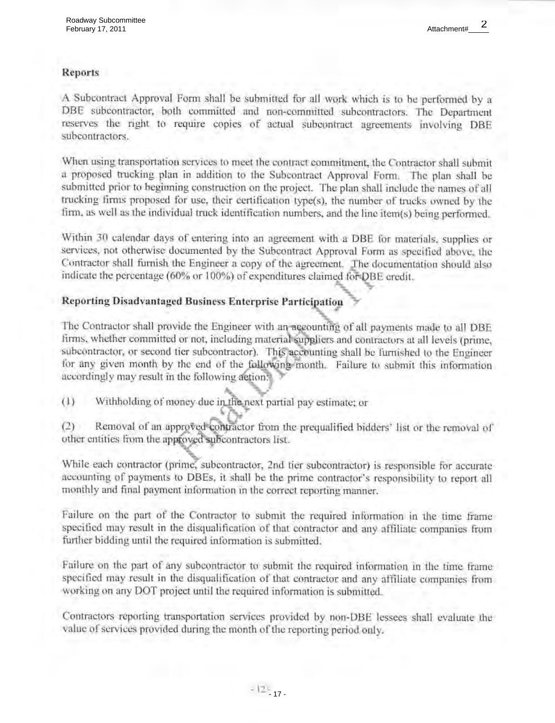## Reports

A Subcontract Approval Form shall be submitted for all work which is to be performed by a DBE subcontractor, both committed and non-committed subcontractors. The Department reserves the right to require copies of actual subcontract agreements involving DBE subcontractors.

When using transportation services to meet the contract commitment, the Contractor shall submit a proposed trucking plan in addition to the Subcontract Approval Form. The plan shall be submitted prior to beginning construction on the project. The plan shall include the names of all trucking firms proposed for use, their certification type(s), the number of trucks owned by the firm, as well as the individual truck identification numbers, and the line item(s) being performed.

Within 30 calendar days of entering into an agreement with a DBE for materials, supplies or services, not otherwise documented by the Subcontract Approval Form as specified above, the Contractor shall furnish the Engineer a copy of the agreement. The documentation should also indicate the percentage (60% or 100%) of expenditures claimed for DBE credit.

# Reporting Disadvantaged Business Enterprise Participation

The Contractor shall provide the Engineer with an accounting of all payments made to all DBE firms, whether committed or not, including material suppliers and contractors at all levels (prime, subcontractor, or second tier subcontractor). This accounting shall be furnished to the Engineer for any given month by the end of the following month. Failure to submit this information accordingly may result in the following action.

Withholding of money due in the next partial pay estimate; or  $(1)$ 

Removal of an approved contractor from the prequalified bidders' list or the removal of  $(2)$ other entities from the approved subcontractors list.

While each contractor (prime, subcontractor, 2nd tier subcontractor) is responsible for accurate accounting of payments to DBEs, it shall be the prime contractor's responsibility to report all monthly and final payment information in the correct reporting manner.

Failure on the part of the Contractor to submit the required information in the time frame specified may result in the disqualification of that contractor and any affiliate companies from further bidding until the required information is submitted.

Failure on the part of any subcontractor to submit the required information in the time frame specified may result in the disqualification of that contractor and any affiliate companies from working on any DOT project until the required information is submitted.

Contractors reporting transportation services provided by non-DBE lessees shall evaluate the value of services provided during the month of the reporting period only.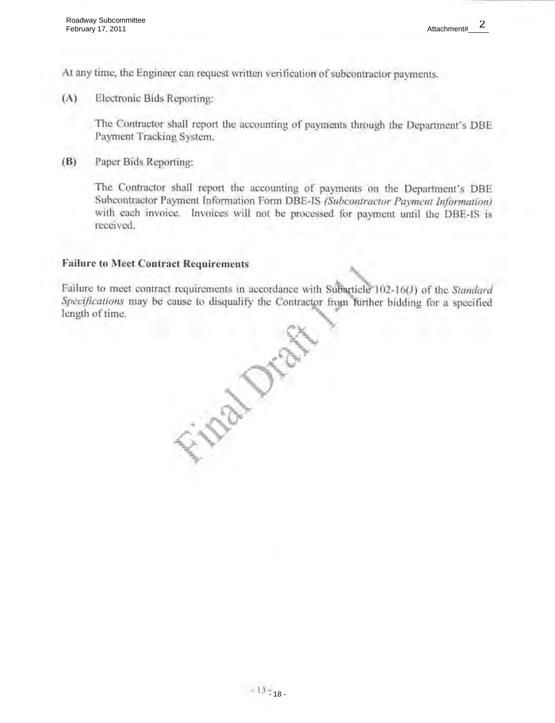At any time, the Engineer can request written verification of subcontractor payments.

Electronic Bids Reporting:  $(A)$ 

> The Contractor shall report the accounting of payments through the Department's DBE Payment Tracking System.

 $(B)$ Paper Bids Reporting:

> The Contractor shall report the accounting of payments on the Department's DBE Subcontractor Payment Information Form DBE-IS (Subcontractor Payment Information) with each invoice. Invoices will not be processed for payment until the DBE-IS is received.

## **Failure to Meet Contract Requirements**

Failure to meet contract requirements in accordance with Subarticle 102-16(J) of the Standard Specifications may be cause to disqualify the Contractor from further bidding for a specified length of time.

FIDE DEEP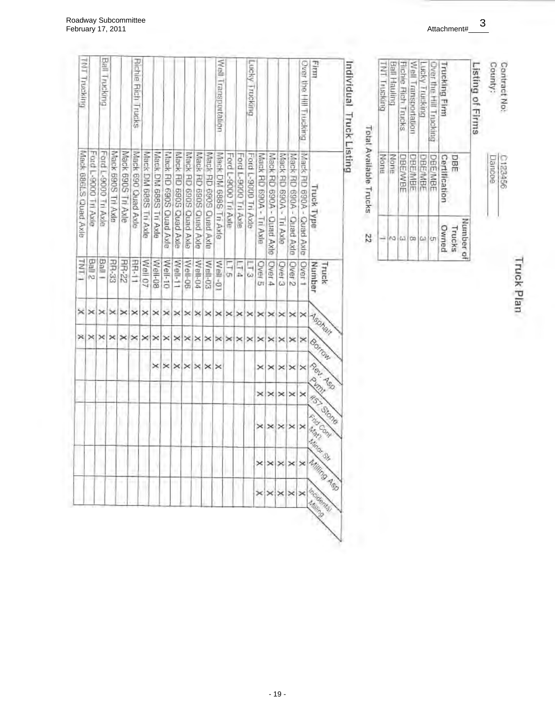| ١ |
|---|
| ≍ |
| - |
|   |
|   |

| <b>Stine</b><br>Ę<br>smil- | idup.<br>É | antract<br>콤 |
|----------------------------|------------|--------------|
|                            |            |              |

| Listing of Firms          |                        |                              |
|---------------------------|------------------------|------------------------------|
| <b>Trucking Firm</b>      | Certification<br>DBE.  | Number of<br>Dwned<br>Trucks |
| Wer the Hill Trucking     | <b>DBE/MBE</b>         |                              |
| Licky Trunking            | <b>BEMBE</b>           |                              |
| Well Transportation       | <b>REMBE</b>           |                              |
| <b>Richie Rich Trucks</b> | DBE/WBE                |                              |
| British Hauling           | None                   |                              |
| TNT Trusking              | None                   |                              |
|                           | Total Available Trucks | 22                           |

Total Available Trucks

# Individual Truck Listing

| щщ                            | <b>Truck Type</b>         | Number<br>Truck | Asphan      | Borrow | Rev. Rep    | PASS     | <b>ASS Stone</b><br>Chat Cont<br>Martina St. | Milling <sub>Asp</sub> |
|-------------------------------|---------------------------|-----------------|-------------|--------|-------------|----------|----------------------------------------------|------------------------|
| <b>Over the Hill Trucking</b> | Mack FID 690A - Quad Axle | 1.18AQ          | $\times$    | ×      | $\times$    | ×        | ×                                            |                        |
|                               | Mack RD 690A - Ouad Axle  | Over 2          | ×           | ×      | $\times$    | $\times$ | ×                                            |                        |
|                               | Mack RD 690A - Tri Axle   | Over 3          | ×           | ×      | ×           | ×        | ×                                            |                        |
|                               | Mack RD 690A - Quad Axle  | Dver 4          | ×           | ×      | ×           | ×        | ×                                            | $\geq$                 |
|                               | Mack RD 690A - Tri Axle   | Over 5          | ✕           | ×      | ×           | ×        | ×                                            | $\times$               |
| Lucky Frucking                | Ford L-9000 Tri Axie      | $\frac{1}{2}$   | ×           | ×      |             |          |                                              |                        |
|                               | Ford L-9000 Tri Axle      | $\frac{1}{2}$   | ×           | ×      |             |          |                                              |                        |
|                               | Ford L-9000 Tri Axle      | 5               | ×l          | ×      |             |          |                                              |                        |
| Well Transportation           | Mack DM 688S Tn Axle      | Well-01         | ×           | ×      | ×           |          |                                              |                        |
|                               | Mack RD 690S Quad Axle    | Well-03         | ×           | ×      | ×           |          |                                              |                        |
|                               | Mack RD 690S Quad Axle    | Well-04         | $^{\times}$ | ×      | $^{\times}$ |          |                                              |                        |
|                               | Mack RD 690S Quad Axle    | Well-08         | ×           | ×      | ×           |          |                                              |                        |
|                               | Mack FID 5905 Quad Axle   | Well-11         | ×           | ×      | ×           |          |                                              |                        |
|                               | Mack RD 690S Quad Axle    | Well-10         | ×           | ×      | $\geq$      |          |                                              |                        |
|                               | Mack DM 688S Tri Axle     | Well-08         | ×           | ×      | ×           |          |                                              |                        |
|                               | Mack DM 688S Tri Axle     | Well 07         | ×           | ×      |             |          |                                              |                        |
| Aichie Rich Trucks            | Mack 690 Quad Axle        | 出生              | ×           | ×      |             |          |                                              |                        |
|                               | Mack 690S Tri Axle        | <b>RR-22</b>    | ×           | ×      |             |          |                                              |                        |
|                               | Mack 590S Tri Axla        | <b>RR-33</b>    | ×           | ×      |             |          |                                              |                        |
| Ball Trucking                 | Ford L-9000 Tri Axle      | Ball I          | ×           | ×      |             |          |                                              |                        |
|                               | Ford L-9000 Tri Axie      | <b>Ball 2</b>   | ×           | ×      |             |          |                                              |                        |
| FMT Truckling                 | Mack 686LS Quad Axle      | <b>TIVIT</b>    |             | ×      |             |          |                                              |                        |

- 19 -

3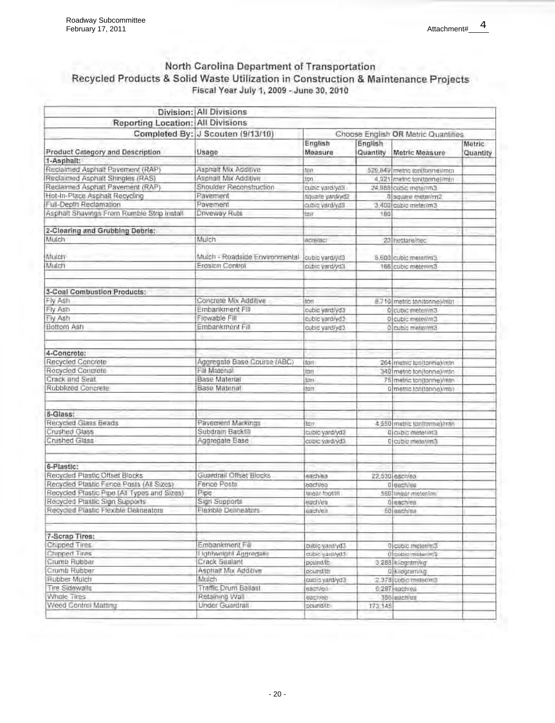## North Carolina Department of Transportation Recycled Products & Solid Waste Utilization in Construction & Maintenance Projects Fiscal Year July 1, 2009 - June 30, 2010

|                                             | Division: All Divisions           |                               |          |                                       |          |
|---------------------------------------------|-----------------------------------|-------------------------------|----------|---------------------------------------|----------|
| Reporting Location: All Divisions           |                                   |                               |          |                                       |          |
|                                             | Completed By: J Scouten (9/13/10) |                               |          | Choose English OR Metric Quantities   |          |
|                                             |                                   | English                       | English  |                                       | Metric   |
| Product Category and Description            | Usage                             | Measure                       | Quantity | Metric Measure                        | Quantity |
| 1-Asphalt:                                  |                                   |                               |          |                                       |          |
| Reclaimed Asphalt Pavement (RAP)            | Asphalt Mix Additive              | not                           |          | 526,849 metric ron(forme irmtn        |          |
| Reclaimed Asphalt Shingles (RAS)            | Asphalt Mix Additive              | tan                           |          | 4,321 metric ton(tonne)/mtn           |          |
| Reclaimed Asphalt Pavement (RAP)            | Shoulder Reconstruction           | cubic vard/yd3                |          | 24.988 cubic meter/m3                 |          |
| Hot-In-Place Asphalt Recycling              | Pavement                          | square yardiyd2               |          | 0 square meter/m2                     |          |
| Full-Depth Reclamation                      | Pavement                          | cubic vard/yd3                |          | 3,400 qubic meter/m3                  |          |
| Asphalt Shavings From Rumble Strip Install  | Driveway Ruts                     | torr.                         | 180      |                                       |          |
|                                             |                                   |                               |          |                                       |          |
| 2-Clearing and Grubbing Debris:             |                                   |                               |          |                                       |          |
| Mulch                                       | Mulch                             | acre/acr                      |          | 23 hootare/nec                        |          |
|                                             |                                   |                               |          |                                       |          |
| Mulch                                       | Mulch - Readside Environmental    | cubic yard/yd3                |          | 5,600 cubic meter/m3                  |          |
| Mulch                                       | Erosion Control                   | cubic vard/yd3                |          | 166 cubic metering                    |          |
|                                             |                                   |                               |          |                                       |          |
|                                             |                                   |                               |          |                                       |          |
| 3-Coal Combustion Products:                 |                                   |                               |          |                                       |          |
| Fly Ash                                     | Concrete Mix Additive             | toty                          |          | 8,710 metric ton(tonne)/mtn           |          |
| Fly Ash                                     | Embankment Fill                   | cubic yard/yd3                |          | O cubic meter/m3                      |          |
| Fly Ash                                     | Flowable Fill                     | cubic yard/yd3                |          | O cubic meter/m3                      |          |
| Bottom Ash                                  | Embankment Fill                   | cubic yard/yd3                |          | 0 cubic meter/m3                      |          |
| 4-Concrete:                                 |                                   |                               |          |                                       |          |
| Recycled Concrete                           | Aggregate Base Course (ABC)       | tori                          |          | 264 metric ton(tonne)/mtn             |          |
| Recycled Contrate                           | Fill Material                     | <b>BSR</b>                    |          | 340 metric ton(tonne)/min             |          |
| Crack and Seat.                             | Base Material                     | tan.                          |          | 75 metric ton(tonne)/mtn              |          |
| Rubblized Concrete                          | Base Material                     | TOTT                          |          | 0 metric ton(tonne)/min               |          |
|                                             |                                   |                               |          |                                       |          |
| 5-Glass:                                    |                                   |                               |          |                                       |          |
| Recycled Glass Beads                        | Pavement Markings                 | terr                          |          | 4,550 metric ton(torme)/mtn           |          |
| Crushed Glass                               | Subdrain Backfill                 | cubic yard/yd3                |          | Dicubic meterim3                      |          |
| Crushed Glass                               | Aggregate Base                    | cubic vard/yd5                |          | 0 cubic meter/m3                      |          |
|                                             |                                   |                               |          |                                       |          |
| 6-Plastic:                                  |                                   |                               |          |                                       |          |
| Recycled Plastic Offset Blocks              | Guardrail Offset Blocks           | eachlea                       |          | 22,530 esch/ea                        |          |
| Recycled Plastic Fence Posts (All Sizes)    | Fence Posts                       | eachlea                       |          | 0 each/ea                             |          |
| Recycled Plastic Pipe (All Types and Sizes) | Pipe                              | linear foot/ift               |          | 560 linear meter/im                   |          |
| Recycled Plastic Sign Supports              | Sign Supports                     | eachlea                       |          | 0 each/ea                             |          |
| Recycled Plastic Flexible Delineators       | Flexible Delineators              | each/ea                       |          | 50 each/ea                            |          |
| 7-Scrap Tires:                              |                                   |                               |          |                                       |          |
| Chipped Tires                               | Embankment Fill                   | cubic yard/yd3                |          | 0 cubic metering                      |          |
| Chipped Tires                               | <b>Lightweight Annregate</b>      | cubic yard/yd3                |          | Cimalamic discussion                  |          |
| Crumb Rubber                                | Crack Sealant                     | dNbridge                      |          | 3,288 kilogram/kg                     |          |
| Crumb Rubber                                | Asphalt Mix Additive              |                               |          |                                       |          |
| Rubber Mulch                                | Mulch                             | cound/lift<br>Ebylbisy bidius |          | 0 kilogramiko<br>2,378 cubic meter/m3 |          |
| <b>Tire Sidewalls</b>                       | Traffic Drum Ballast              |                               |          |                                       |          |
| Whole Tires                                 | Retaining Wall                    | each/ea                       |          | $6,297$ eactivea                      |          |
| Weed Control Matting                        | Under Guardrall                   | eachlea<br>pound/lb           | 173.145  | 356 each/ea                           |          |
|                                             |                                   |                               |          |                                       |          |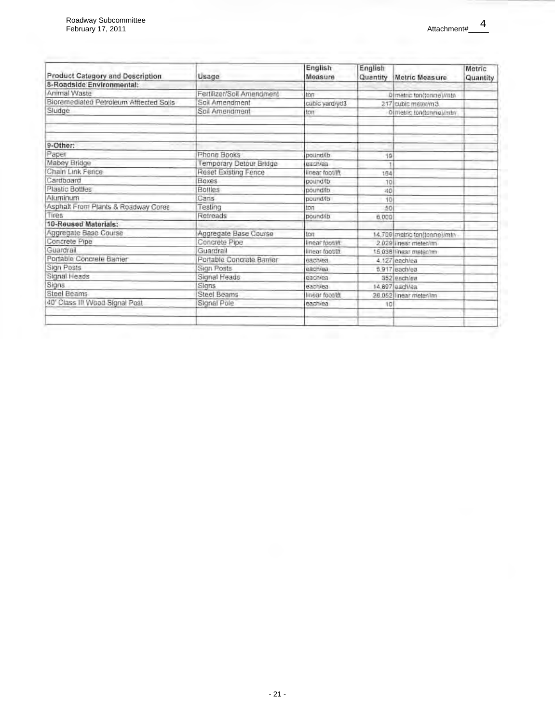| Usage<br>Fertilizer/Soil Amendment<br>Soil Amendment<br>Soil Amendment | tion<br>cubic vard/yd3 | Quantity        | Metric Measure          | Quantity                                                                                                                                                                                                        |
|------------------------------------------------------------------------|------------------------|-----------------|-------------------------|-----------------------------------------------------------------------------------------------------------------------------------------------------------------------------------------------------------------|
|                                                                        |                        |                 |                         |                                                                                                                                                                                                                 |
|                                                                        |                        |                 | Olmetric ton(tonne)/mtn |                                                                                                                                                                                                                 |
|                                                                        |                        |                 | 217 cubic meter/n3      |                                                                                                                                                                                                                 |
|                                                                        | ton                    |                 | Olmetric tondonnel/min  |                                                                                                                                                                                                                 |
|                                                                        |                        |                 |                         |                                                                                                                                                                                                                 |
|                                                                        |                        |                 |                         |                                                                                                                                                                                                                 |
| Phone Books                                                            | poundilb               |                 |                         |                                                                                                                                                                                                                 |
| Temporary Detour Bridge                                                | each/ea                |                 |                         |                                                                                                                                                                                                                 |
| Reset Existing Fence                                                   | linear foot/lft        | 164             |                         |                                                                                                                                                                                                                 |
| Boxes                                                                  | pound/lb               | 10              |                         |                                                                                                                                                                                                                 |
| <b>Bottles</b>                                                         | poundilb               | 40              |                         |                                                                                                                                                                                                                 |
| Cans                                                                   | pound/lb               |                 |                         |                                                                                                                                                                                                                 |
| Testing                                                                | ton                    |                 |                         |                                                                                                                                                                                                                 |
| Retreads                                                               | pound/ib               |                 |                         |                                                                                                                                                                                                                 |
|                                                                        |                        |                 |                         |                                                                                                                                                                                                                 |
|                                                                        | ton                    |                 |                         |                                                                                                                                                                                                                 |
| Concrete Pipe                                                          |                        |                 |                         |                                                                                                                                                                                                                 |
| Guardrall                                                              | linear foot/Iff        |                 |                         |                                                                                                                                                                                                                 |
| Portable Concrete Barrier                                              | eachlea                |                 |                         |                                                                                                                                                                                                                 |
| Sign Posts                                                             | eachlea                |                 |                         |                                                                                                                                                                                                                 |
| Signal Heads                                                           | eachlea                |                 |                         |                                                                                                                                                                                                                 |
| Signs                                                                  | eachlea                |                 |                         |                                                                                                                                                                                                                 |
| Steel Beams                                                            | linear foot/ift        |                 |                         |                                                                                                                                                                                                                 |
| Signal Pole                                                            | eachiea                |                 |                         |                                                                                                                                                                                                                 |
|                                                                        |                        |                 |                         |                                                                                                                                                                                                                 |
|                                                                        | Aggregate Base Course  | linear foot/ift |                         | 19<br>101<br>56<br>6.000<br>14,709 metric tan/tonne)/mtn<br>2.029 linear meter/im<br>15 038 linear mater/im<br>4.127 each/ea<br>6.917 each/ea<br>352 each/ea<br>14.897 each/ea<br>28.052 linear meter/lm<br>101 |